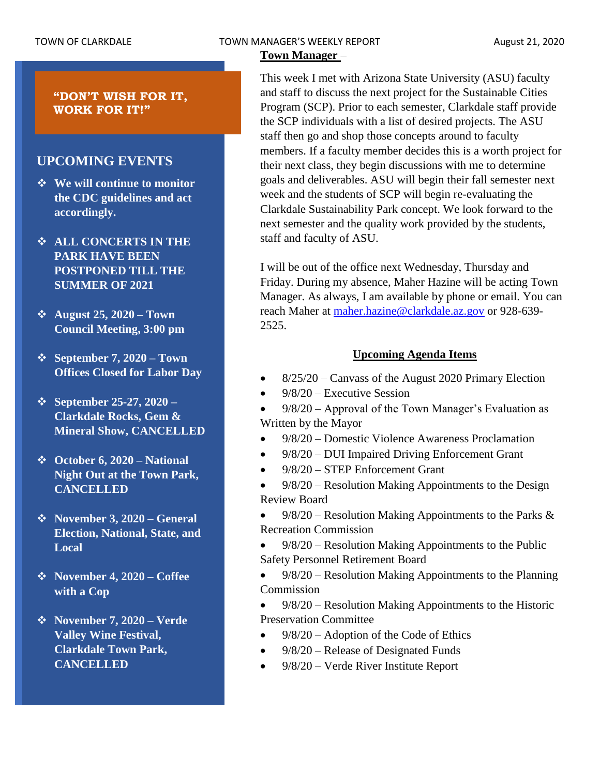# TOWN OF CLARKDALE TOWN MANAGER'S WEEKLY REPORT TOWN August 21, 2020

# **Town Manager** –

**"DON'T WISH FOR IT, WORK FOR IT!"**

# **UPCOMING EVENTS**

- ❖ **We will continue to monitor the CDC guidelines and act accordingly.**
- ❖ **ALL CONCERTS IN THE PARK HAVE BEEN POSTPONED TILL THE SUMMER OF 2021**
- ❖ **August 25, 2020 – Town Council Meeting, 3:00 pm**
- ❖ **September 7, 2020 – Town Offices Closed for Labor Day**
- ❖ **September 25-27, 2020 – Clarkdale Rocks, Gem & Mineral Show, CANCELLED**
- ❖ **October 6, 2020 – National Night Out at the Town Park, CANCELLED**
- ❖ **November 3, 2020 – General Election, National, State, and Local**
- ❖ **November 4, 2020 – Coffee with a Cop**
- ❖ **November 7, 2020 – Verde Valley Wine Festival, Clarkdale Town Park, CANCELLED**

This week I met with Arizona State University (ASU) faculty and staff to discuss the next project for the Sustainable Cities Program (SCP). Prior to each semester, Clarkdale staff provide the SCP individuals with a list of desired projects. The ASU staff then go and shop those concepts around to faculty members. If a faculty member decides this is a worth project for their next class, they begin discussions with me to determine goals and deliverables. ASU will begin their fall semester next week and the students of SCP will begin re-evaluating the Clarkdale Sustainability Park concept. We look forward to the next semester and the quality work provided by the students, staff and faculty of ASU.

I will be out of the office next Wednesday, Thursday and Friday. During my absence, Maher Hazine will be acting Town Manager. As always, I am available by phone or email. You can reach Maher at [maher.hazine@clarkdale.az.gov](mailto:maher.hazine@clarkdale.az.gov) or 928-639-2525.

# **Upcoming Agenda Items**

- 8/25/20 Canvass of the August 2020 Primary Election
- 9/8/20 Executive Session

• 9/8/20 – Approval of the Town Manager's Evaluation as Written by the Mayor

- 9/8/20 Domestic Violence Awareness Proclamation
- 9/8/20 DUI Impaired Driving Enforcement Grant
- 9/8/20 STEP Enforcement Grant
- 9/8/20 Resolution Making Appointments to the Design Review Board

 $9/8/20$  – Resolution Making Appointments to the Parks & Recreation Commission

• 9/8/20 – Resolution Making Appointments to the Public Safety Personnel Retirement Board

• 9/8/20 – Resolution Making Appointments to the Planning Commission

• 9/8/20 – Resolution Making Appointments to the Historic Preservation Committee

- 9/8/20 Adoption of the Code of Ethics
- 9/8/20 Release of Designated Funds
- 9/8/20 Verde River Institute Report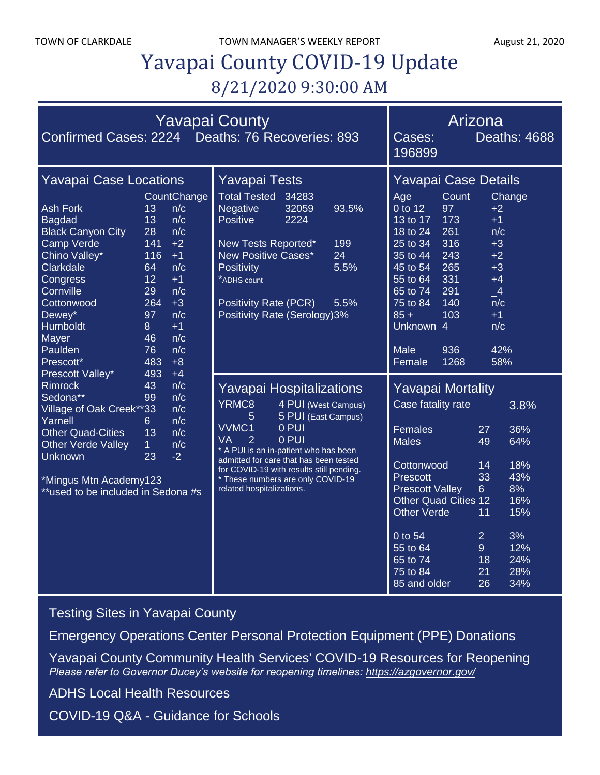TOWN OF CLARKDALE TOWN MANAGER'S WEEKLY REPORT August 21, 2020

# Yavapai County COVID-19 Update 8/21/2020 9:30:00 AM

| Confirmed Cases: 2224 Deaths: 76 Recoveries: 893                                                                                                                                                                                                                                                                                                                                                                                                                                                                                                                                                                                                                                                                                                                                             | <b>Yavapai County</b>                                                                                                                                                                                                                                                              | Arizona<br>Cases:<br>196899                                                                                                                                                                                                                                                                                                                                       | <b>Deaths: 4688</b>                                                                                                                                                                                                                               |
|----------------------------------------------------------------------------------------------------------------------------------------------------------------------------------------------------------------------------------------------------------------------------------------------------------------------------------------------------------------------------------------------------------------------------------------------------------------------------------------------------------------------------------------------------------------------------------------------------------------------------------------------------------------------------------------------------------------------------------------------------------------------------------------------|------------------------------------------------------------------------------------------------------------------------------------------------------------------------------------------------------------------------------------------------------------------------------------|-------------------------------------------------------------------------------------------------------------------------------------------------------------------------------------------------------------------------------------------------------------------------------------------------------------------------------------------------------------------|---------------------------------------------------------------------------------------------------------------------------------------------------------------------------------------------------------------------------------------------------|
| <b>Yavapai Case Locations</b><br>CountChange<br><b>Ash Fork</b><br>13<br>n/c<br>13<br>n/c<br><b>Bagdad</b><br><b>Black Canyon City</b><br>28<br>n/c<br>Camp Verde<br>$+2$<br>141<br>Chino Valley*<br>116<br>$+1$<br>Clarkdale<br>n/c<br>64<br>12<br>$+1$<br>Congress<br>Cornville<br>29<br>n/c<br>264<br>$+3$<br>Cottonwood<br>97<br>Dewey*<br>n/c<br>Humboldt<br>$+1$<br>8<br>n/c<br>Mayer<br>46<br>Paulden<br>76<br>n/c<br>483<br>Prescott*<br>$+8$<br>Prescott Valley*<br>493<br>$+4$<br><b>Rimrock</b><br>n/c<br>43<br>Sedona**<br>99<br>n/c<br>Village of Oak Creek**33<br>n/c<br>Yarnell<br>n/c<br>6.<br><b>Other Quad-Cities</b><br>13<br>n/c<br>Other Verde Valley<br>n/c<br>1 <sup>1</sup><br>23<br>$-2$<br>Unknown<br>*Mingus Mtn Academy123<br>**used to be included in Sedona #s | <b>Yavapai Tests</b><br>Total Tested 34283<br><b>Negative</b><br>93.5%<br>32059<br><b>Positive</b><br>2224<br>New Tests Reported*<br>199<br>New Positive Cases*<br>24<br><b>Positivity</b><br>5.5%<br>*ADHS count<br>Positivity Rate (PCR)<br>5.5%<br>Positivity Rate (Serology)3% | Yavapai Case Details<br>Count<br>Age<br>0 to 12<br>97<br>173<br>13 to 17<br>261<br>18 to 24<br>25 to 34<br>316<br>243<br>35 to 44<br>265<br>45 to 54<br>331<br>55 to 64<br>291<br>65 to 74<br>140<br>75 to 84<br>103<br>$85 +$<br>Unknown 4<br><b>Male</b><br>936<br>1268<br>Female                                                                               | Change<br>$+2$<br>$+1$<br>n/c<br>$+3$<br>$+2$<br>$+3$<br>$+4$<br>$\overline{\phantom{0}}^4$<br>n/c<br>$+1$<br>n/c<br>42%<br>58%                                                                                                                   |
|                                                                                                                                                                                                                                                                                                                                                                                                                                                                                                                                                                                                                                                                                                                                                                                              |                                                                                                                                                                                                                                                                                    | Yavapai Hospitalizations<br>YRMC <sub>8</sub><br>4 PUI (West Campus)<br>$\overline{5}$<br>5 PUI (East Campus)<br>VVMC1<br>0 PUI<br>$\overline{2}$<br>0 PUI<br>VA<br>* A PUI is an in-patient who has been<br>admitted for care that has been tested<br>for COVID-19 with results still pending.<br>* These numbers are only COVID-19<br>related hospitalizations. | <b>Yavapai Mortality</b><br>Case fatality rate<br>Females<br><b>Males</b><br>Cottonwood<br><b>Prescott</b><br><b>Prescott Valley</b><br><b>Other Quad Cities 12</b><br>Other Verde<br>0 to 54<br>55 to 64<br>65 to 74<br>75 to 84<br>85 and older |

[Testing Sites in Yavapai County](https://www.yavapai.us/Portals/39/COVID-19/TestingSitesinYavapaiCounty.pdf)

[Emergency Operations Center Personal Protection Equipment \(PPE\) Donations](http://www.yavapai.us/Portals/39/PPE%20Donations.pdf)

[Yavapai County Community Health Services' COVID-19 Resources for Reopening](https://www.yavapai.us/chs/COVID-19) *Please refer to Governor Ducey's website for reopening timelines: <https://azgovernor.gov/>*

[ADHS Local Health Resources](https://www.azdhs.gov/preparedness/epidemiology-disease-control/infectious-disease-epidemiology/index.php#novel-coronavirus-local-health-resources)

COVID-19 Q&A - [Guidance for Schools](https://www.yavapai.us/Portals/39/COVID-19/COVID-19_QA_GuidanceForSchools.pdf)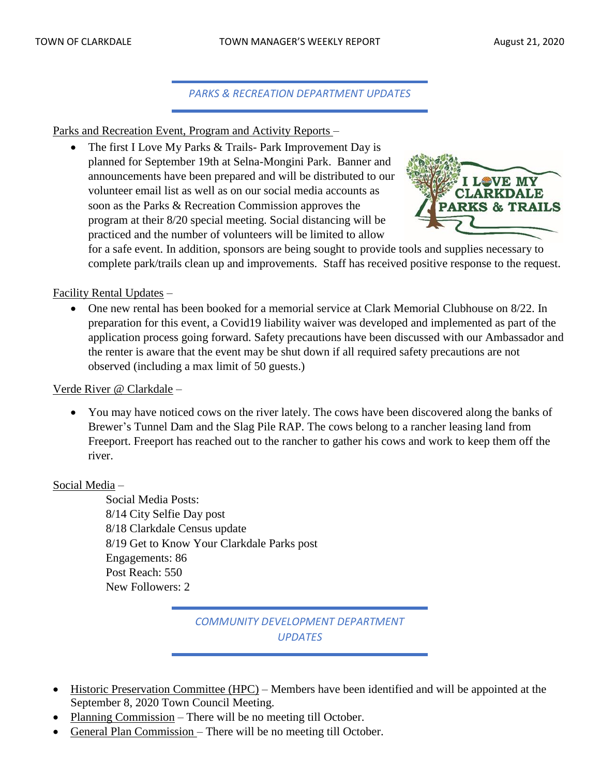*PARKS & RECREATION DEPARTMENT UPDATES*

Parks and Recreation Event, Program and Activity Reports –

The first I Love My Parks & Trails- Park Improvement Day is planned for September 19th at Selna-Mongini Park. Banner and announcements have been prepared and will be distributed to our volunteer email list as well as on our social media accounts as soon as the Parks & Recreation Commission approves the program at their 8/20 special meeting. Social distancing will be practiced and the number of volunteers will be limited to allow



for a safe event. In addition, sponsors are being sought to provide tools and supplies necessary to complete park/trails clean up and improvements. Staff has received positive response to the request.

### Facility Rental Updates –

• One new rental has been booked for a memorial service at Clark Memorial Clubhouse on 8/22. In preparation for this event, a Covid19 liability waiver was developed and implemented as part of the application process going forward. Safety precautions have been discussed with our Ambassador and the renter is aware that the event may be shut down if all required safety precautions are not observed (including a max limit of 50 guests.)

#### Verde River @ Clarkdale –

• You may have noticed cows on the river lately. The cows have been discovered along the banks of Brewer's Tunnel Dam and the Slag Pile RAP. The cows belong to a rancher leasing land from Freeport. Freeport has reached out to the rancher to gather his cows and work to keep them off the river.

#### Social Media –

Social Media Posts: 8/14 City Selfie Day post 8/18 Clarkdale Census update 8/19 Get to Know Your Clarkdale Parks post Engagements: 86 Post Reach: 550 New Followers: 2

# *COMMUNITY DEVELOPMENT DEPARTMENT UPDATES*

- Historic Preservation Committee (HPC) Members have been identified and will be appointed at the September 8, 2020 Town Council Meeting.
- Planning Commission There will be no meeting till October.
- General Plan Commission There will be no meeting till October.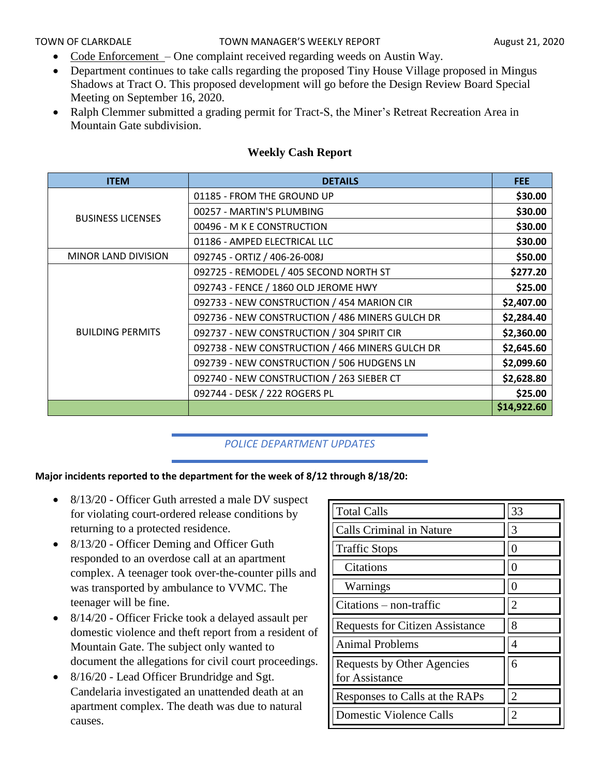- Code Enforcement One complaint received regarding weeds on Austin Way.
- Department continues to take calls regarding the proposed Tiny House Village proposed in Mingus Shadows at Tract O. This proposed development will go before the Design Review Board Special Meeting on September 16, 2020.
- Ralph Clemmer submitted a grading permit for Tract-S, the Miner's Retreat Recreation Area in Mountain Gate subdivision.

| <b>ITEM</b>                | <b>DETAILS</b>                                  | <b>FEE</b>  |
|----------------------------|-------------------------------------------------|-------------|
|                            | 01185 - FROM THE GROUND UP                      | \$30.00     |
| <b>BUSINESS LICENSES</b>   | 00257 - MARTIN'S PLUMBING                       | \$30.00     |
|                            | 00496 - M K E CONSTRUCTION                      | \$30.00     |
|                            | 01186 - AMPED ELECTRICAL LLC                    | \$30.00     |
| <b>MINOR LAND DIVISION</b> | 092745 - ORTIZ / 406-26-008J                    | \$50.00     |
|                            | 092725 - REMODEL / 405 SECOND NORTH ST          | \$277.20    |
|                            | 092743 - FENCE / 1860 OLD JEROME HWY            | \$25.00     |
|                            | 092733 - NEW CONSTRUCTION / 454 MARION CIR      | \$2,407.00  |
|                            | 092736 - NEW CONSTRUCTION / 486 MINERS GULCH DR | \$2,284.40  |
| <b>BUILDING PERMITS</b>    | 092737 - NEW CONSTRUCTION / 304 SPIRIT CIR      | \$2,360.00  |
|                            | 092738 - NEW CONSTRUCTION / 466 MINERS GULCH DR | \$2,645.60  |
|                            | 092739 - NEW CONSTRUCTION / 506 HUDGENS LN      | \$2,099.60  |
|                            | 092740 - NEW CONSTRUCTION / 263 SIEBER CT       | \$2,628.80  |
|                            | 092744 - DESK / 222 ROGERS PL                   | \$25.00     |
|                            |                                                 | \$14,922.60 |

#### **Weekly Cash Report**

#### *POLICE DEPARTMENT UPDATES*

#### **Major incidents reported to the department for the week of 8/12 through 8/18/20:**

- 8/13/20 Officer Guth arrested a male DV suspect for violating court-ordered release conditions by returning to a protected residence.
- 8/13/20 Officer Deming and Officer Guth responded to an overdose call at an apartment complex. A teenager took over-the-counter pills and was transported by ambulance to VVMC. The teenager will be fine.
- 8/14/20 Officer Fricke took a delayed assault per domestic violence and theft report from a resident of Mountain Gate. The subject only wanted to document the allegations for civil court proceedings.
- 8/16/20 Lead Officer Brundridge and Sgt. Candelaria investigated an unattended death at an apartment complex. The death was due to natural causes.

| <b>Total Calls</b>                                  | 33 |
|-----------------------------------------------------|----|
| <b>Calls Criminal in Nature</b>                     | 3  |
| <b>Traffic Stops</b>                                |    |
| Citations                                           |    |
| Warnings                                            |    |
| $Citations - non-traffic$                           | 2  |
| <b>Requests for Citizen Assistance</b>              | 8  |
| <b>Animal Problems</b>                              | 4  |
| <b>Requests by Other Agencies</b><br>for Assistance | 6  |
| Responses to Calls at the RAPs                      |    |
| <b>Domestic Violence Calls</b>                      |    |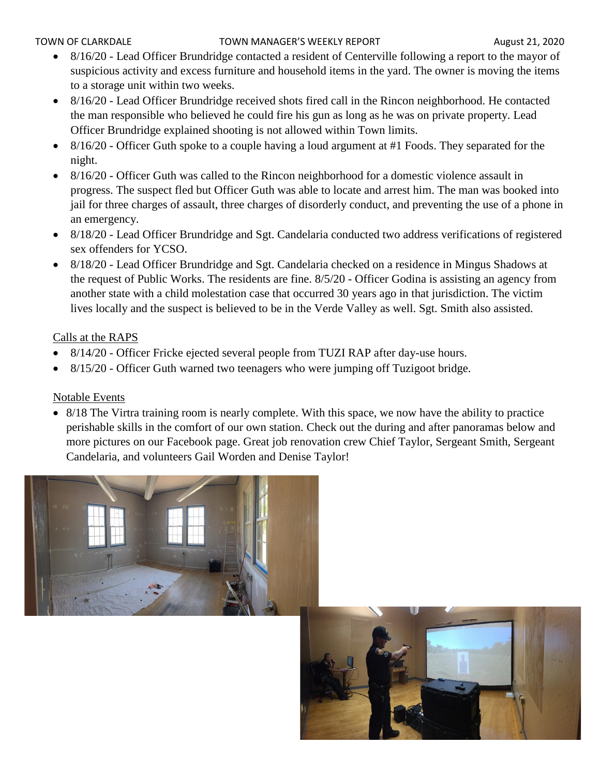#### TOWN OF CLARKDALE TOWN MANAGER'S WEEKLY REPORT TOWN August 21, 2020

- 8/16/20 Lead Officer Brundridge contacted a resident of Centerville following a report to the mayor of suspicious activity and excess furniture and household items in the yard. The owner is moving the items to a storage unit within two weeks.
- 8/16/20 Lead Officer Brundridge received shots fired call in the Rincon neighborhood. He contacted the man responsible who believed he could fire his gun as long as he was on private property. Lead Officer Brundridge explained shooting is not allowed within Town limits.
- 8/16/20 Officer Guth spoke to a couple having a loud argument at #1 Foods. They separated for the night.
- 8/16/20 Officer Guth was called to the Rincon neighborhood for a domestic violence assault in progress. The suspect fled but Officer Guth was able to locate and arrest him. The man was booked into jail for three charges of assault, three charges of disorderly conduct, and preventing the use of a phone in an emergency.
- 8/18/20 Lead Officer Brundridge and Sgt. Candelaria conducted two address verifications of registered sex offenders for YCSO.
- 8/18/20 Lead Officer Brundridge and Sgt. Candelaria checked on a residence in Mingus Shadows at the request of Public Works. The residents are fine. 8/5/20 - Officer Godina is assisting an agency from another state with a child molestation case that occurred 30 years ago in that jurisdiction. The victim lives locally and the suspect is believed to be in the Verde Valley as well. Sgt. Smith also assisted.

# Calls at the RAPS

- 8/14/20 Officer Fricke ejected several people from TUZI RAP after day-use hours.
- 8/15/20 Officer Guth warned two teenagers who were jumping off Tuzigoot bridge.

# Notable Events

• 8/18 The Virtra training room is nearly complete. With this space, we now have the ability to practice perishable skills in the comfort of our own station. Check out the during and after panoramas below and more pictures on our Facebook page. Great job renovation crew Chief Taylor, Sergeant Smith, Sergeant Candelaria, and volunteers Gail Worden and Denise Taylor!